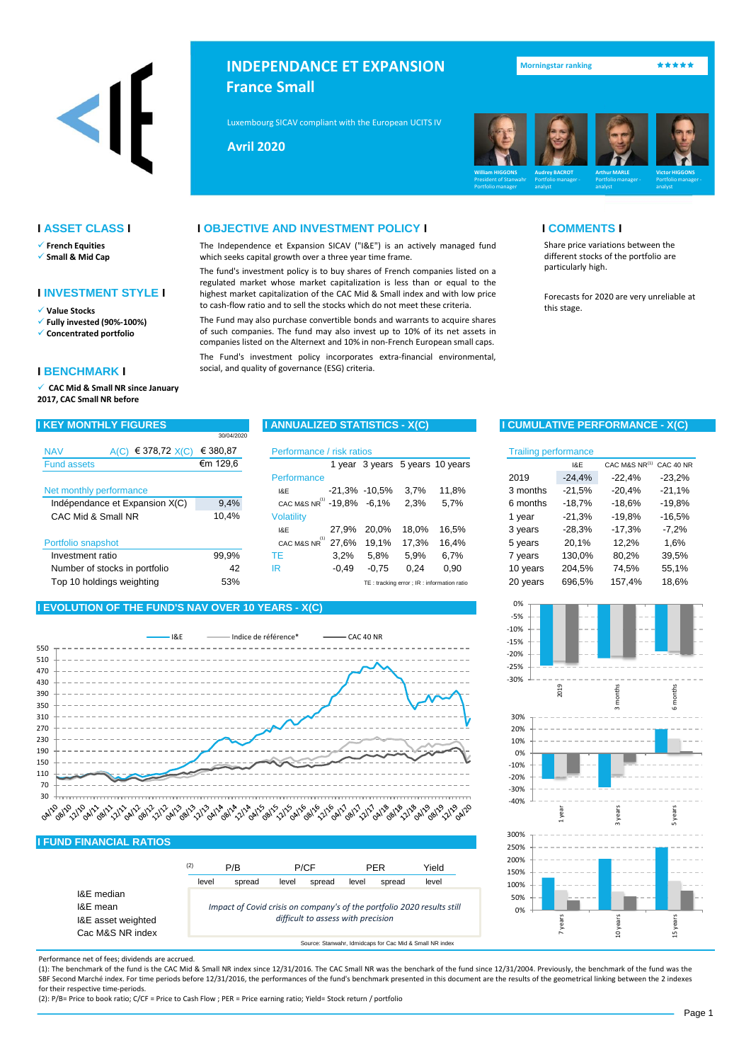

- ✓ **French Equities**
- ✓ **Small & Mid Cap**

## **I INVESTMENT STYLE I**

- ✓ **Fully invested (90%-100%)**
- ✓ **Concentrated portfolio**

### **I BENCHMARK I**

✓ **CAC Mid & Small NR since January 2017, CAC Small NR before**

| € 378,72 $X(C)$<br><b>NAV</b><br>A(C) | € 380.87 | Performance / risk ratios              |         |                   |       |                                           | <b>Trailing performance</b> |          |                         |          |
|---------------------------------------|----------|----------------------------------------|---------|-------------------|-------|-------------------------------------------|-----------------------------|----------|-------------------------|----------|
| <b>Fund assets</b>                    | €m 129,6 |                                        |         |                   |       | year 3 years 5 years 10 years             |                             | I&E      | CAC M&S NR(1) CAC 40 NR |          |
|                                       |          | Performance                            |         |                   |       |                                           | 2019                        | $-24,4%$ | $-22.4%$                | $-23,2%$ |
| Net monthly performance               |          | I&E                                    |         | $-21.3\% -10.5\%$ | 3.7%  | 11.8%                                     | 3 months                    | $-21,5%$ | $-20.4\%$               | $-21,1%$ |
| Indépendance et Expansion X(C)        | 9,4%     | CAC M&S NR <sup>(1)</sup> -19,8% -6,1% |         |                   | 2.3%  | 5.7%                                      | 6 months                    | $-18.7%$ | $-18.6%$                | $-19.8%$ |
| CAC Mid & Small NR                    | 10.4%    | <b>Volatility</b>                      |         |                   |       |                                           | 1 vear                      | $-21,3%$ | -19.8%                  | $-16,5%$ |
|                                       |          | I&E                                    | 27.9%   | 20.0%             | 18.0% | 16.5%                                     | 3 years                     | $-28,3%$ | $-17.3%$                | $-7.2\%$ |
| Portfolio snapshot                    |          | CAC M&S NR                             | 27.6%   | 19,1%             | 17.3% | 16.4%                                     | 5 years                     | 20,1%    | 12.2%                   | 1,6%     |
| Investment ratio                      | 99.9%    | ТE                                     | 3.2%    | 5,8%              | 5.9%  | 6.7%                                      | 7 years                     | 130.0%   | 80,2%                   | 39,5%    |
| Number of stocks in portfolio         | 42       | IR                                     | $-0.49$ | $-0.75$           | 0.24  | 0,90                                      | 10 years                    | 204.5%   | 74.5%                   | 55,1%    |
| Top 10 holdings weighting             | 53%      |                                        |         |                   |       | TE: tracking error: IR: information ratio | 20 years                    | 696.5%   | 157.4%                  | 18.6%    |

30/04/2020

## **I EVOLUTION OF THE FUND'S NAV OVER 10 YEARS - X(C)**



## **I FUND FINANCIAL RATIOS**

|                                              | (2) | level | P/B<br>spread                                                           | P/CF<br>level | spread                             | <b>PFR</b><br>level | spread | Yield<br>level |
|----------------------------------------------|-----|-------|-------------------------------------------------------------------------|---------------|------------------------------------|---------------------|--------|----------------|
| I&E median<br>I&E mean<br>I&E asset weighted |     |       | Impact of Covid crisis on company's of the portfolio 2020 results still |               | difficult to assess with precision |                     |        |                |
| Cac M&S NR index                             |     |       |                                                                         |               |                                    |                     |        |                |



Performance net of fees; dividends are accrued.

(1): The benchmark of the fund is the CAC Mid & Small NR index since 12/31/2016. The CAC Small NR was the benchark of the fund since 12/31/2004. Previously, the benchmark of the fund was the SBF Second Marché index. For time periods before 12/31/2016, the performances of the fund's benchmark presented in this document are the results of the geometrical linking between the 2 indexes for their respective time-periods.

(2): P/B= Price to book ratio; C/CF = Price to Cash Flow ; PER = Price earning ratio; Yield= Stock return / portfolio

**INDEPENDANCE ET EXPANSION France Small** 

Luxembourg SICAV compliant with the European UCITS IV Directive Compliant Compliant of the Compliant of the Co

**Mai 2013 Avril 2020**



## **I ASSET CLASS I I OBJECTIVE AND INVESTMENT POLICY I I COMMENTS I**

The Independence et Expansion SICAV ("I&E") is an actively managed fund which seeks capital growth over a three year time frame.

The fund's investment policy is to buy shares of French companies listed on a regulated market whose market capitalization is less than or equal to the highest market capitalization of the CAC Mid & Small index and with low price to cash-flow ratio and to sell the stocks which do not meet these criteria. ✓ this stage. **Value Stocks**

The Fund may also purchase convertible bonds and warrants to acquire shares of such companies. The fund may also invest up to 10% of its net assets in companies listed on the Alternext and 10% in non-French European small caps.

The Fund's investment policy incorporates extra-financial environmental, social, and quality of governance (ESG) criteria.

Share price variations between the different stocks of the portfolio are particularly high.

Forecasts for 2020 are very unreliable at

## **I KEY MONTHLY FIGURES I ANNUALIZED STATISTICS - X(C) I CUMULATIVE PERFORMANCE - X(C)**

| risk ratios |               |       |                                            | <b>Trailing performance</b> |          |               |           |
|-------------|---------------|-------|--------------------------------------------|-----------------------------|----------|---------------|-----------|
| 1 year      |               |       | 3 years 5 years 10 years                   |                             | I&E      | CAC M&S NR(1) | CAC 40 NR |
|             |               |       |                                            | 2019                        | $-24,4%$ | $-22.4%$      | $-23,2%$  |
|             | -21,3% -10,5% | 3,7%  | 11,8%                                      | 3 months                    | $-21,5%$ | $-20,4%$      | $-21,1%$  |
| $-19.8%$    | $-6.1%$       | 2,3%  | 5,7%                                       | 6 months                    | $-18,7%$ | $-18.6%$      | $-19.8%$  |
|             |               |       |                                            | 1 year                      | $-21,3%$ | $-19.8%$      | $-16,5%$  |
| 27,9%       | 20.0%         | 18,0% | 16,5%                                      | 3 years                     | $-28.3%$ | $-17,3%$      | $-7,2%$   |
| 27,6%       | 19,1%         | 17,3% | 16,4%                                      | 5 years                     | 20,1%    | 12,2%         | 1,6%      |
| 3,2%        | 5,8%          | 5,9%  | 6,7%                                       | 7 years                     | 130,0%   | 80,2%         | 39,5%     |
| $-0,49$     | $-0.75$       | 0.24  | 0.90                                       | 10 years                    | 204.5%   | 74.5%         | 55,1%     |
|             |               |       | TE: tracking error ; IR: information ratio | 20 years                    | 696,5%   | 157,4%        | 18,6%     |



Page 1